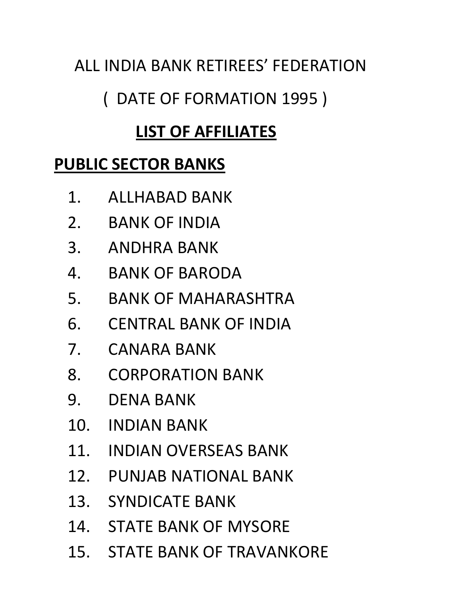# ALL INDIA BANK RETIREES' FEDERATION

# ( DATE OF FORMATION 1995 )

# LIST OF AFFILIATES

## PUBLIC SECTOR BANKS

- 1. ALLHABAD BANK
- 2. BANK OF INDIA
- 3. ANDHRA BANK
- 4. BANK OF BARODA
- 5. BANK OF MAHARASHTRA
- 6. CENTRAL BANK OF INDIA
- 7. CANARA BANK
- 8. CORPORATION BANK
- 9. DENA BANK
- 10. INDIAN BANK
- 11. INDIAN OVERSEAS BANK
- 12. PUNJAB NATIONAL BANK
- 13. SYNDICATE BANK
- 14. STATE BANK OF MYSORE
- 15. STATE BANK OF TRAVANKORE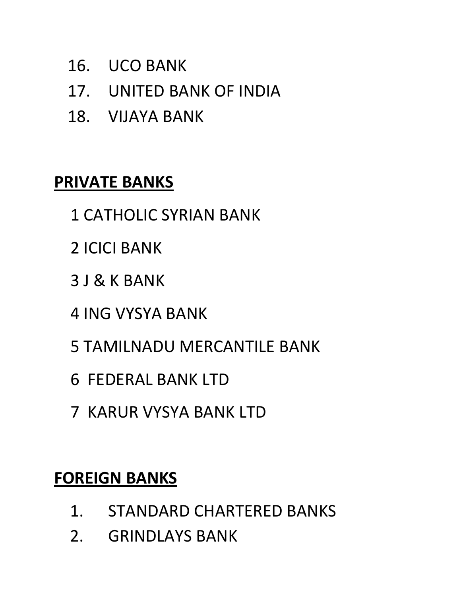- 16. UCO BANK
- 17. UNITED BANK OF INDIA
- 18. VIJAYA BANK

#### PRIVATE BANKS

- 1 CATHOLIC SYRIAN BANK
- 2 ICICI BANK
- 3 J & K BANK
- 4 ING VYSYA BANK
- 5 TAMILNADU MERCANTILE BANK
- 6 FEDERAL BANK LTD
- 7 KARUR VYSYA BANK LTD

#### FOREIGN BANKS

- 1. STANDARD CHARTERED BANKS
- 2. GRINDLAYS BANK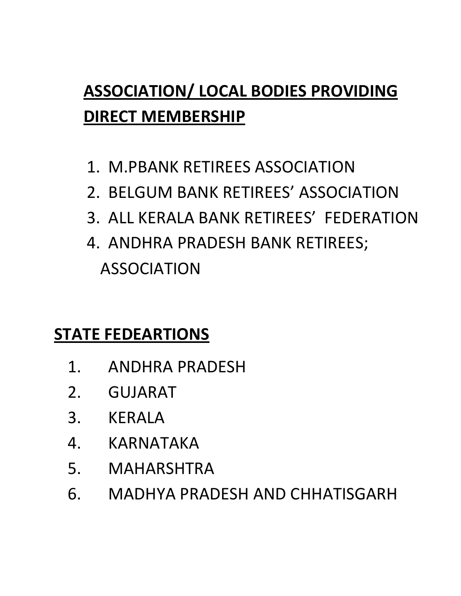# ASSOCIATION/ LOCAL BODIES PROVIDING DIRECT MEMBERSHIP

- 1. M.PBANK RETIREES ASSOCIATION
- 2. BELGUM BANK RETIREES' ASSOCIATION
- 3. ALL KERALA BANK RETIREES' FEDERATION
- 4. ANDHRA PRADESH BANK RETIREES; ASSOCIATION

## STATE FEDEARTIONS

- 1. ANDHRA PRADESH
- 2. GUJARAT
- 3. KERALA
- 4. KARNATAKA
- 5. MAHARSHTRA
- 6. MADHYA PRADESH AND CHHATISGARH